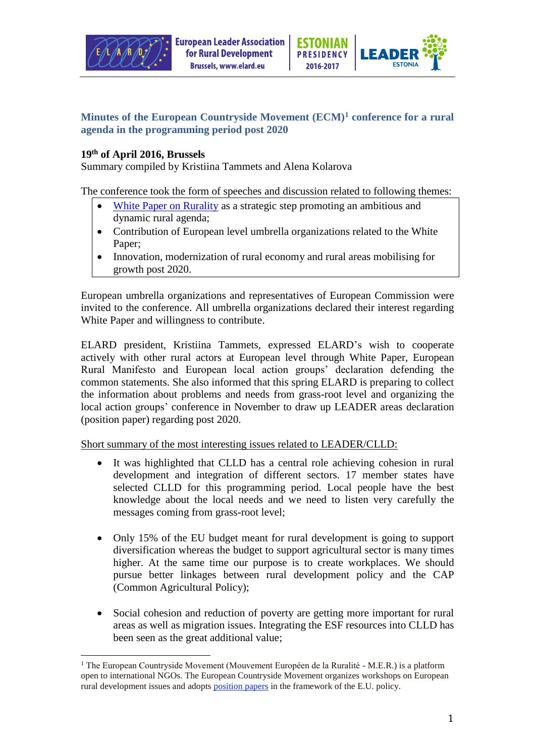



## **Minutes of the European Countryside Movement (ECM)<sup>1</sup> conference for a rural agenda in the programming period post 2020**

## **19th of April 2016, Brussels**

Summary compiled by Kristiina Tammets and Alena Kolarova

The conference took the form of speeches and discussion related to following themes:

- [White Paper on Rurality](http://doc.ruraleurope.org/public/Web/Communication/MER/EN/MERCom20151E.pdf) as a strategic step promoting an ambitious and dynamic rural agenda;
- Contribution of European level umbrella organizations related to the White Paper;
- Innovation, modernization of rural economy and rural areas mobilising for growth post 2020.

European umbrella organizations and representatives of European Commission were invited to the conference. All umbrella organizations declared their interest regarding White Paper and willingness to contribute.

ELARD president, Kristiina Tammets, expressed ELARD's wish to cooperate actively with other rural actors at European level through White Paper, European Rural Manifesto and European local action groups' declaration defending the common statements. She also informed that this spring ELARD is preparing to collect the information about problems and needs from grass-root level and organizing the local action groups' conference in November to draw up LEADER areas declaration (position paper) regarding post 2020.

Short summary of the most interesting issues related to LEADER/CLLD:

- It was highlighted that CLLD has a central role achieving cohesion in rural development and integration of different sectors. 17 member states have selected CLLD for this programming period. Local people have the best knowledge about the local needs and we need to listen very carefully the messages coming from grass-root level;
- Only 15% of the EU budget meant for rural development is going to support diversification whereas the budget to support agricultural sector is many times higher. At the same time our purpose is to create workplaces. We should pursue better linkages between rural development policy and the CAP (Common Agricultural Policy);
- Social cohesion and reduction of poverty are getting more important for rural areas as well as migration issues. Integrating the ESF resources into CLLD has been seen as the great additional value;

 $\overline{a}$ <sup>1</sup> The European Countryside Movement (Mouvement Européen de la Ruralité - M.E.R.) is a platform open to international NGOs. The European Countryside Movement organizes workshops on European rural development issues and adopt[s position papers](http://www.ruraleurope.org/content/blogcategory/13/4/lang,english/) in the framework of the E.U. policy.